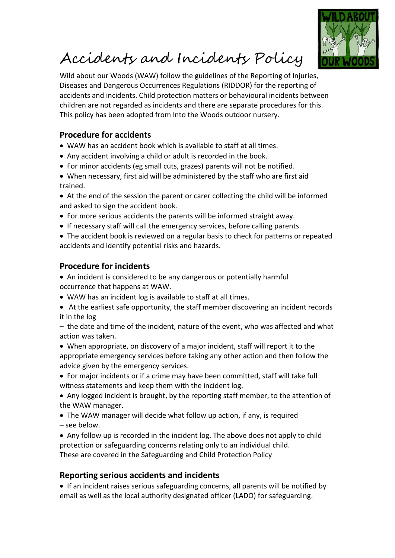

## Accidents and Incidents Policy

Wild about our Woods (WAW) follow the guidelines of the Reporting of Injuries, Diseases and Dangerous Occurrences Regulations (RIDDOR) for the reporting of accidents and incidents. Child protection matters or behavioural incidents between children are not regarded as incidents and there are separate procedures for this. This policy has been adopted from Into the Woods outdoor nursery.

## **Procedure for accidents**

- WAW has an accident book which is available to staff at all times.
- Any accident involving a child or adult is recorded in the book.
- For minor accidents (eg small cuts, grazes) parents will not be notified.
- When necessary, first aid will be administered by the staff who are first aid trained.
- At the end of the session the parent or carer collecting the child will be informed and asked to sign the accident book.
- For more serious accidents the parents will be informed straight away.
- If necessary staff will call the emergency services, before calling parents.
- The accident book is reviewed on a regular basis to check for patterns or repeated accidents and identify potential risks and hazards.

## **Procedure for incidents**

- An incident is considered to be any dangerous or potentially harmful occurrence that happens at WAW.
- WAW has an incident log is available to staff at all times.
- At the earliest safe opportunity, the staff member discovering an incident records it in the log

– the date and time of the incident, nature of the event, who was affected and what action was taken.

- When appropriate, on discovery of a major incident, staff will report it to the appropriate emergency services before taking any other action and then follow the advice given by the emergency services.
- For major incidents or if a crime may have been committed, staff will take full witness statements and keep them with the incident log.
- Any logged incident is brought, by the reporting staff member, to the attention of the WAW manager.
- The WAW manager will decide what follow up action, if any, is required – see below.
- Any follow up is recorded in the incident log. The above does not apply to child protection or safeguarding concerns relating only to an individual child. These are covered in the Safeguarding and Child Protection Policy

## **Reporting serious accidents and incidents**

• If an incident raises serious safeguarding concerns, all parents will be notified by email as well as the local authority designated officer (LADO) for safeguarding.